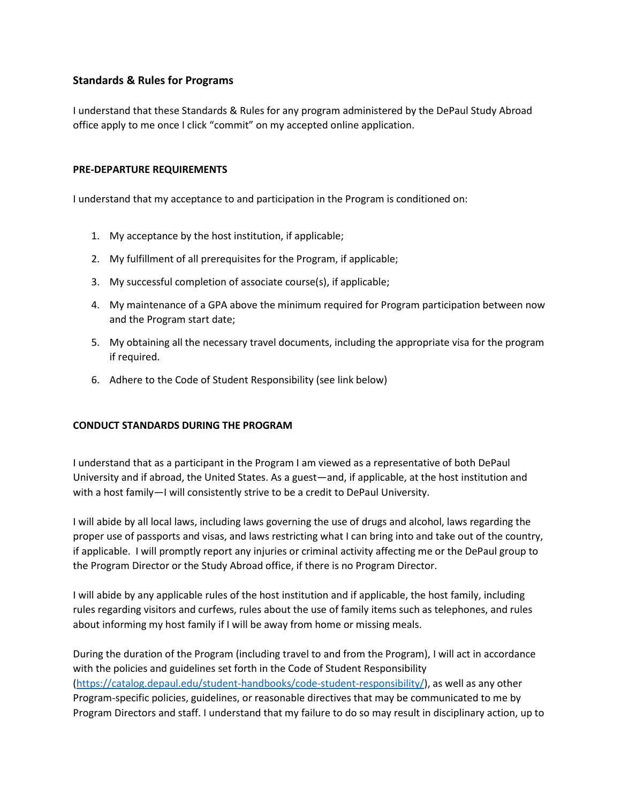## **Standards & Rules for Programs**

I understand that these Standards & Rules for any program administered by the DePaul Study Abroad office apply to me once I click "commit" on my accepted online application.

## **PRE-DEPARTURE REQUIREMENTS**

I understand that my acceptance to and participation in the Program is conditioned on:

- 1. My acceptance by the host institution, if applicable;
- 2. My fulfillment of all prerequisites for the Program, if applicable;
- 3. My successful completion of associate course(s), if applicable;
- 4. My maintenance of a GPA above the minimum required for Program participation between now and the Program start date;
- 5. My obtaining all the necessary travel documents, including the appropriate visa for the program if required.
- 6. Adhere to the Code of Student Responsibility (see link below)

## **CONDUCT STANDARDS DURING THE PROGRAM**

I understand that as a participant in the Program I am viewed as a representative of both DePaul University and if abroad, the United States. As a guest—and, if applicable, at the host institution and with a host family—I will consistently strive to be a credit to DePaul University.

I will abide by all local laws, including laws governing the use of drugs and alcohol, laws regarding the proper use of passports and visas, and laws restricting what I can bring into and take out of the country, if applicable. I will promptly report any injuries or criminal activity affecting me or the DePaul group to the Program Director or the Study Abroad office, if there is no Program Director.

I will abide by any applicable rules of the host institution and if applicable, the host family, including rules regarding visitors and curfews, rules about the use of family items such as telephones, and rules about informing my host family if I will be away from home or missing meals.

During the duration of the Program (including travel to and from the Program), I will act in accordance with the policies and guidelines set forth in the Code of Student Responsibility [\(https://catalog.depaul.edu/student-handbooks/code-student-responsibility/\)](https://catalog.depaul.edu/student-handbooks/code-student-responsibility/), as well as any other Program-specific policies, guidelines, or reasonable directives that may be communicated to me by Program Directors and staff. I understand that my failure to do so may result in disciplinary action, up to